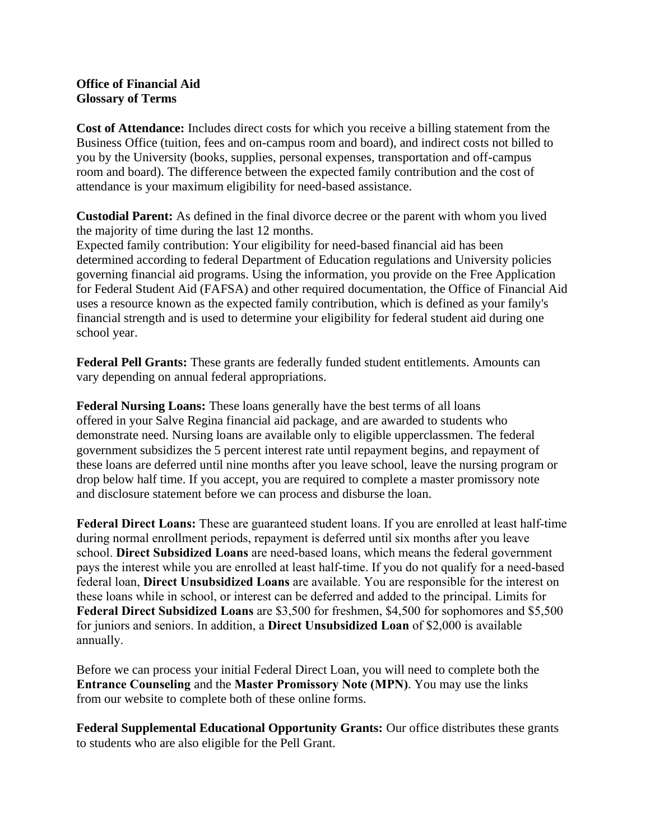## **Office of Financial Aid Glossary of Terms**

**Cost of Attendance:** Includes direct costs for which you receive a billing statement from the Business Office (tuition, fees and on-campus room and board), and indirect costs not billed to you by the University (books, supplies, personal expenses, transportation and off-campus room and board). The difference between the expected family contribution and the cost of attendance is your maximum eligibility for need-based assistance.

**Custodial Parent:** As defined in the final divorce decree or the parent with whom you lived the majority of time during the last 12 months.

Expected family contribution: Your eligibility for need-based financial aid has been determined according to federal Department of Education regulations and University policies governing financial aid programs. Using the information, you provide on the Free Application for Federal Student Aid (FAFSA) and other required documentation, the Office of Financial Aid uses a resource known as the expected family contribution, which is defined as your family's financial strength and is used to determine your eligibility for federal student aid during one school year.

**Federal Pell Grants:** These grants are federally funded student entitlements. Amounts can vary depending on annual federal appropriations.

**Federal Nursing Loans:** These loans generally have the best terms of all loans offered in your Salve Regina financial aid package, and are awarded to students who demonstrate need. Nursing loans are available only to eligible upperclassmen. The federal government subsidizes the 5 percent interest rate until repayment begins, and repayment of these loans are deferred until nine months after you leave school, leave the nursing program or drop below half time. If you accept, you are required to complete a master promissory note and disclosure statement before we can process and disburse the loan.

**Federal Direct Loans:** These are guaranteed student loans. If you are enrolled at least half-time during normal enrollment periods, repayment is deferred until six months after you leave school. **Direct Subsidized Loans** are need-based loans, which means the federal government pays the interest while you are enrolled at least half-time. If you do not qualify for a need-based federal loan, **Direct Unsubsidized Loans** are available. You are responsible for the interest on these loans while in school, or interest can be deferred and added to the principal. Limits for **Federal Direct Subsidized Loans** are \$3,500 for freshmen, \$4,500 for sophomores and \$5,500 for juniors and seniors. In addition, a **Direct Unsubsidized Loan** of \$2,000 is available annually.

Before we can process your initial Federal Direct Loan, you will need to complete both the **Entrance Counseling** and the **Master Promissory Note (MPN)**. You may use the links from our website to complete both of these online forms.

**Federal Supplemental Educational Opportunity Grants:** Our office distributes these grants to students who are also eligible for the Pell Grant.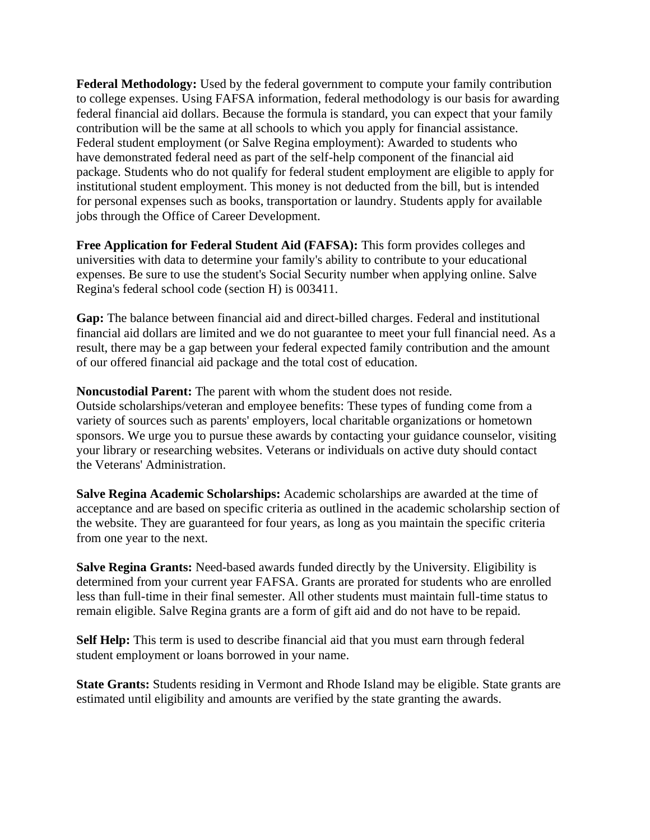**Federal Methodology:** Used by the federal government to compute your family contribution to college expenses. Using FAFSA information, federal methodology is our basis for awarding federal financial aid dollars. Because the formula is standard, you can expect that your family contribution will be the same at all schools to which you apply for financial assistance. Federal student employment (or Salve Regina employment): Awarded to students who have demonstrated federal need as part of the self-help component of the financial aid package. Students who do not qualify for federal student employment are eligible to apply for institutional student employment. This money is not deducted from the bill, but is intended for personal expenses such as books, transportation or laundry. Students apply for available jobs through the Office of Career Development.

**Free Application for Federal Student Aid (FAFSA):** This form provides colleges and universities with data to determine your family's ability to contribute to your educational expenses. Be sure to use the student's Social Security number when applying online. Salve Regina's federal school code (section H) is 003411.

**Gap:** The balance between financial aid and direct-billed charges. Federal and institutional financial aid dollars are limited and we do not guarantee to meet your full financial need. As a result, there may be a gap between your federal expected family contribution and the amount of our offered financial aid package and the total cost of education.

**Noncustodial Parent:** The parent with whom the student does not reside. Outside scholarships/veteran and employee benefits: These types of funding come from a variety of sources such as parents' employers, local charitable organizations or hometown sponsors. We urge you to pursue these awards by contacting your guidance counselor, visiting your library or researching websites. Veterans or individuals on active duty should contact the Veterans' Administration.

**Salve Regina Academic Scholarships:** Academic scholarships are awarded at the time of acceptance and are based on specific criteria as outlined in the academic scholarship section of the website. They are guaranteed for four years, as long as you maintain the specific criteria from one year to the next.

**Salve Regina Grants:** Need-based awards funded directly by the University. Eligibility is determined from your current year FAFSA. Grants are prorated for students who are enrolled less than full-time in their final semester. All other students must maintain full-time status to remain eligible. Salve Regina grants are a form of gift aid and do not have to be repaid.

**Self Help:** This term is used to describe financial aid that you must earn through federal student employment or loans borrowed in your name.

**State Grants:** Students residing in Vermont and Rhode Island may be eligible. State grants are estimated until eligibility and amounts are verified by the state granting the awards.